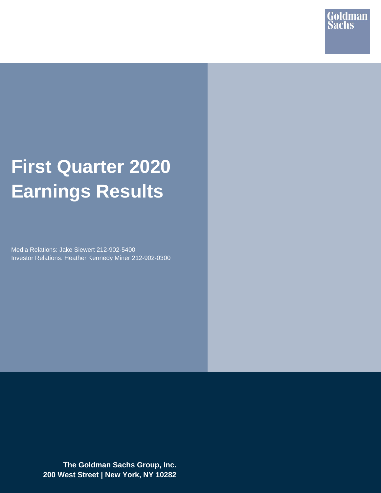

# **First Quarter 2020 Earnings Results**

Media Relations: Jake Siewert 212-902-5400 Investor Relations: Heather Kennedy Miner 212-902-0300

> **The Goldman Sachs Group, Inc. 200 West Street | New York, NY 10282**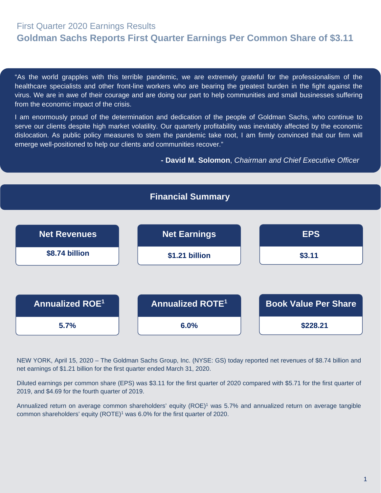# First Quarter 2020 Earnings Results **Goldman Sachs Reports First Quarter Earnings Per Common Share of \$3.11**

"As the world grapples with this terrible pandemic, we are extremely grateful for the professionalism of the healthcare specialists and other front-line workers who are bearing the greatest burden in the fight against the virus. We are in awe of their courage and are doing our part to help communities and small businesses suffering from the economic impact of the crisis.

 emerge well-positioned to help our clients and communities recover." I am enormously proud of the determination and dedication of the people of Goldman Sachs, who continue to serve our clients despite high market volatility. Our quarterly profitability was inevitably affected by the economic dislocation. As public policy measures to stem the pandemic take root, I am firmly convinced that our firm will

**- David M. Solomon**, *Chairman and Chief Executive Officer*



NEW YORK, April 15, 2020 – The Goldman Sachs Group, Inc. (NYSE: GS) today reported net revenues of \$8.74 billion and net earnings of \$1.21 billion for the first quarter ended March 31, 2020.

Diluted earnings per common share (EPS) was \$3.11 for the first quarter of 2020 compared with \$5.71 for the first quarter of 2019, and \$4.69 for the fourth quarter of 2019.

Annualized return on average common shareholders' equity (ROE)<sup>1</sup> was 5.7% and annualized return on average tangible common shareholders' equity (ROTE)<sup>1</sup> was 6.0% for the first quarter of 2020.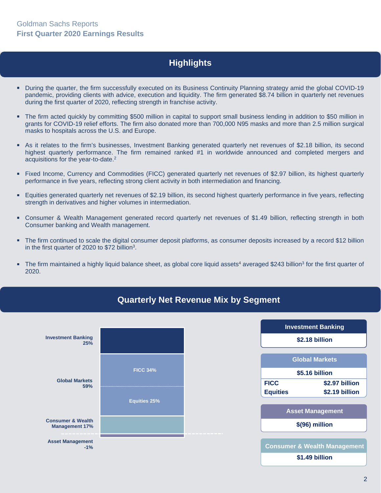# **Highlights**

- During the quarter, the firm successfully executed on its Business Continuity Planning strategy amid the global COVID-19 pandemic, providing clients with advice, execution and liquidity. The firm generated \$8.74 billion in quarterly net revenues during the first quarter of 2020, reflecting strength in franchise activity.
- The firm acted quickly by committing \$500 million in capital to support small business lending in addition to \$50 million in grants for COVID-19 relief efforts. The firm also donated more than 700,000 N95 masks and more than 2.5 million surgical masks to hospitals across the U.S. and Europe.
- As it relates to the firm's businesses, Investment Banking generated quarterly net revenues of \$2.18 billion, its second highest quarterly performance. The firm remained ranked #1 in worldwide announced and completed mergers and acquisitions for the year-to-date.<sup>2</sup>
- Fixed Income, Currency and Commodities (FICC) generated quarterly net revenues of \$2.97 billion, its highest quarterly performance in five years, reflecting strong client activity in both intermediation and financing.
- Equities generated quarterly net revenues of \$2.19 billion, its second highest quarterly performance in five years, reflecting strength in derivatives and higher volumes in intermediation.
- Consumer & Wealth Management generated record quarterly net revenues of \$1.49 billion, reflecting strength in both Consumer banking and Wealth management.
- The firm continued to scale the digital consumer deposit platforms, as consumer deposits increased by a record \$12 billion in the first quarter of 2020 to \$72 billion<sup>3</sup>.
- The firm maintained a highly liquid balance sheet, as global core liquid assets<sup>4</sup> averaged \$243 billion<sup>3</sup> for the first quarter of 2020.



## **Quarterly Net Revenue Mix by Segment**

| <b>Investment Banking</b> |                                         |  |  |  |  |  |  |
|---------------------------|-----------------------------------------|--|--|--|--|--|--|
| \$2.18 billion            |                                         |  |  |  |  |  |  |
|                           | <b>Global Markets</b>                   |  |  |  |  |  |  |
|                           | \$5.16 billion                          |  |  |  |  |  |  |
| <b>FICC</b>               | \$2.97 billion                          |  |  |  |  |  |  |
| <b>Equities</b>           | \$2.19 billion                          |  |  |  |  |  |  |
|                           | <b>Asset Management</b>                 |  |  |  |  |  |  |
|                           | \$(96) million                          |  |  |  |  |  |  |
|                           |                                         |  |  |  |  |  |  |
|                           | <b>Consumer &amp; Wealth Management</b> |  |  |  |  |  |  |
|                           | \$1.49 billion                          |  |  |  |  |  |  |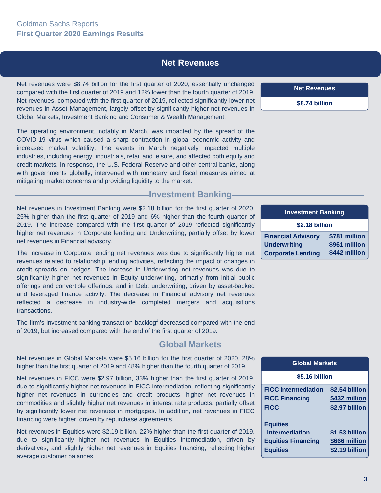#### **Net Revenues**

Net revenues were \$8.74 billion for the first quarter of 2020, essentially unchanged compared with the first quarter of 2019 and 12% lower than the fourth quarter of 2019. Net revenues, compared with the first quarter of 2019, reflected significantly lower net revenues in Asset Management, largely offset by significantly higher net revenues in Global Markets, Investment Banking and Consumer & Wealth Management.

The operating environment, notably in March, was impacted by the spread of the COVID-19 virus which caused a sharp contraction in global economic activity and increased market volatility. The events in March negatively impacted multiple industries, including energy, industrials, retail and leisure, and affected both equity and credit markets. In response, the U.S. Federal Reserve and other central banks, along with governments globally, intervened with monetary and fiscal measures aimed at mitigating market concerns and providing liquidity to the market.

#### **Investment Banking**

Net revenues in Investment Banking were \$2.18 billion for the first quarter of 2020, 25% higher than the first quarter of 2019 and 6% higher than the fourth quarter of 2019. The increase compared with the first quarter of 2019 reflected significantly higher net revenues in Corporate lending and Underwriting, partially offset by lower net revenues in Financial advisory.

The increase in Corporate lending net revenues was due to significantly higher net revenues related to relationship lending activities, reflecting the impact of changes in credit spreads on hedges. The increase in Underwriting net revenues was due to significantly higher net revenues in Equity underwriting, primarily from initial public offerings and convertible offerings, and in Debt underwriting, driven by asset-backed and leveraged finance activity. The decrease in Financial advisory net revenues reflected a decrease in industry-wide completed mergers and acquisitions transactions.

The firm's investment banking transaction backlog<sup>4</sup> decreased compared with the end of 2019, but increased compared with the end of the first quarter of 2019.

#### **Global Markets**

Net revenues in Global Markets were \$5.16 billion for the first quarter of 2020, 28% higher than the first quarter of 2019 and 48% higher than the fourth quarter of 2019.

Net revenues in FICC were \$2.97 billion, 33% higher than the first quarter of 2019, due to significantly higher net revenues in FICC intermediation, reflecting significantly higher net revenues in currencies and credit products, higher net revenues in commodities and slightly higher net revenues in interest rate products, partially offset by significantly lower net revenues in mortgages. In addition, net revenues in FICC financing were higher, driven by repurchase agreements.

Net revenues in Equities were \$2.19 billion, 22% higher than the first quarter of 2019, due to significantly higher net revenues in Equities intermediation, driven by derivatives, and slightly higher net revenues in Equities financing, reflecting higher average customer balances.

**Net Revenues**

**\$8.74 billion** 

| <b>Investment Banking</b>            |               |  |  |  |  |  |
|--------------------------------------|---------------|--|--|--|--|--|
| \$2.18 billion                       |               |  |  |  |  |  |
| <b>Financial Advisory</b>            | \$781 million |  |  |  |  |  |
| \$961 million<br><b>Underwriting</b> |               |  |  |  |  |  |
| <b>Corporate Lending</b>             | \$442 million |  |  |  |  |  |

| <b>Global Markets</b>                                                 |                                                   |  |  |  |  |  |
|-----------------------------------------------------------------------|---------------------------------------------------|--|--|--|--|--|
| \$5.16 billion                                                        |                                                   |  |  |  |  |  |
| <b>FICC Intermediation</b><br><b>FICC Financing</b><br><b>FICC</b>    | \$2.54 billion<br>\$432 million<br>\$2.97 billion |  |  |  |  |  |
| <b>Equities</b><br><b>Intermediation</b><br><b>Equities Financing</b> | \$1.53 billion<br>\$666 million                   |  |  |  |  |  |

**Equities \$2.19 billion**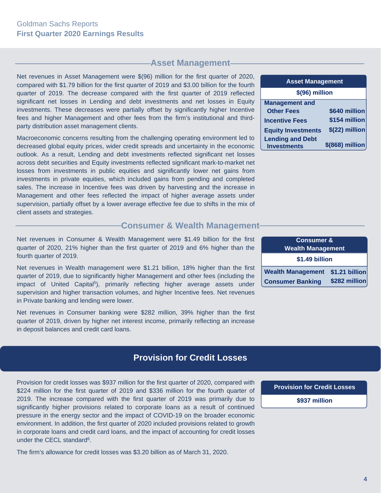## **-Asset Management-**

Net revenues in Asset Management were \$(96) million for the first quarter of 2020, compared with \$1.79 billion for the first quarter of 2019 and \$3.00 billion for the fourth quarter of 2019. The decrease compared with the first quarter of 2019 reflected significant net losses in Lending and debt investments and net losses in Equity investments. These decreases were partially offset by significantly higher Incentive fees and higher Management and other fees from the firm's institutional and thirdparty distribution asset management clients.

Macroeconomic concerns resulting from the challenging operating environment led to decreased global equity prices, wider credit spreads and uncertainty in the economic outlook. As a result, Lending and debt investments reflected significant net losses across debt securities and Equity investments reflected significant mark-to-market net losses from investments in public equities and significantly lower net gains from investments in private equities, which included gains from pending and completed sales. The increase in Incentive fees was driven by harvesting and the increase in Management and other fees reflected the impact of higher average assets under supervision, partially offset by a lower average effective fee due to shifts in the mix of client assets and strategies.

#### **Consumer & Wealth Management-**

Net revenues in Consumer & Wealth Management were \$1.49 billion for the first quarter of 2020, 21% higher than the first quarter of 2019 and 6% higher than the fourth quarter of 2019.

Net revenues in Wealth management were \$1.21 billion, 18% higher than the first quarter of 2019, due to significantly higher Management and other fees (including the impact of United Capital<sup>5</sup>), primarily reflecting higher average assets under supervision and higher transaction volumes, and higher Incentive fees. Net revenues in Private banking and lending were lower.

Net revenues in Consumer banking were \$282 million, 39% higher than the first quarter of 2019, driven by higher net interest income, primarily reflecting an increase in deposit balances and credit card loans.

## **Provision for Credit Losses**

Provision for credit losses was \$937 million for the first quarter of 2020, compared with \$224 million for the first quarter of 2019 and \$336 million for the fourth quarter of 2019. The increase compared with the first quarter of 2019 was primarily due to significantly higher provisions related to corporate loans as a result of continued pressure in the energy sector and the impact of COVID-19 on the broader economic environment. In addition, the first quarter of 2020 included provisions related to growth in corporate loans and credit card loans, and the impact of accounting for credit losses under the CECL standard<sup>6</sup>.

The firm's allowance for credit losses was \$3.20 billion as of March 31, 2020.

| <b>Asset Management</b>                       |                 |  |  |  |  |  |  |
|-----------------------------------------------|-----------------|--|--|--|--|--|--|
| \$(96) million                                |                 |  |  |  |  |  |  |
| <b>Management and</b>                         |                 |  |  |  |  |  |  |
| <b>Other Fees</b>                             | \$640 million   |  |  |  |  |  |  |
| <b>Incentive Fees</b>                         | \$154 million   |  |  |  |  |  |  |
| <b>Equity Investments</b>                     | \$(22) million  |  |  |  |  |  |  |
| <b>Lending and Debt</b><br><b>Investments</b> | \$(868) million |  |  |  |  |  |  |

| <b>Consumer &amp;</b>    |                |  |  |  |  |  |
|--------------------------|----------------|--|--|--|--|--|
| <b>Wealth Management</b> |                |  |  |  |  |  |
| \$1.49 billion           |                |  |  |  |  |  |
| <b>Wealth Management</b> | \$1.21 billion |  |  |  |  |  |
| <b>Consumer Banking</b>  | \$282 million  |  |  |  |  |  |

**Provision for Credit Losses** 

**\$937 million**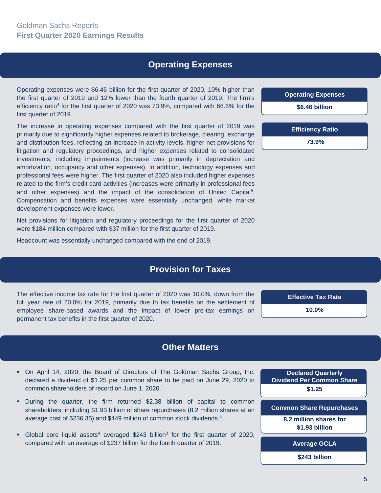## **Operating Expenses**

Operating expenses were \$6.46 billion for the first quarter of 2020, 10% higher than the first quarter of 2019 and 12% lower than the fourth quarter of 2019. The firm's efficiency ratio<sup>4</sup> for the first quarter of 2020 was  $73.9\%$ , compared with 66.6% for the first quarter of 2019.

The increase in operating expenses compared with the first quarter of 2019 was primarily due to significantly higher expenses related to brokerage, clearing, exchange and distribution fees, reflecting an increase in activity levels, higher net provisions for litigation and regulatory proceedings, and higher expenses related to consolidated investments, including impairments (increase was primarily in depreciation and amortization, occupancy and other expenses). In addition, technology expenses and professional fees were higher. The first quarter of 2020 also included higher expenses related to the firm's credit card activities (increases were primarily in professional fees and other expenses) and the impact of the consolidation of United Capital5. Compensation and benefits expenses were essentially unchanged, while market development expenses were lower.

Net provisions for litigation and regulatory proceedings for the first quarter of 2020 were \$184 million compared with \$37 million for the first quarter of 2019.

Headcount was essentially unchanged compared with the end of 2019.

## **Provision for Taxes**

The effective income tax rate for the first quarter of 2020 was 10.0%, down from the full year rate of 20.0% for 2019, primarily due to tax benefits on the settlement of employee share-based awards and the impact of lower pre-tax earnings on permanent tax benefits in the first quarter of 2020.

**Effective Tax Rate 10.0%** 

#### **Other Matters**

- On April 14, 2020, the Board of Directors of The Goldman Sachs Group, Inc. declared a dividend of \$1.25 per common share to be paid on June 29, 2020 to common shareholders of record on June 1, 2020.
- During the quarter, the firm returned \$2.38 billion of capital to common shareholders, including \$1.93 billion of share repurchases (8.2 million shares at an average cost of \$236.35) and \$449 million of common stock dividends.<sup>4</sup>
- Global core liquid assets<sup>4</sup> averaged \$243 billion<sup>3</sup> for the first quarter of 2020, compared with an average of \$237 billion for the fourth quarter of 2019.

**Declared Quarterly Dividend Per Common Share \$1.25** 

**Common Share Repurchases**

**8.2 million shares for \$1.93 billion**

**Average GCLA**

**\$243 billion**

**Operating Expenses \$6.46 billion Efficiency Ratio** 

 **73.9%**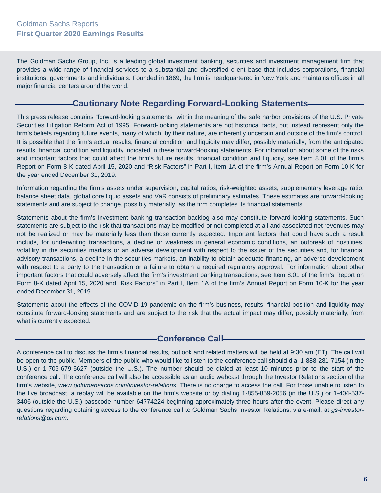The Goldman Sachs Group, Inc. is a leading global investment banking, securities and investment management firm that provides a wide range of financial services to a substantial and diversified client base that includes corporations, financial institutions, governments and individuals. Founded in 1869, the firm is headquartered in New York and maintains offices in all major financial centers around the world.

## **Cautionary Note Regarding Forward-Looking Statements**

This press release contains "forward-looking statements" within the meaning of the safe harbor provisions of the U.S. Private Securities Litigation Reform Act of 1995. Forward-looking statements are not historical facts, but instead represent only the firm's beliefs regarding future events, many of which, by their nature, are inherently uncertain and outside of the firm's control. It is possible that the firm's actual results, financial condition and liquidity may differ, possibly materially, from the anticipated results, financial condition and liquidity indicated in these forward-looking statements. For information about some of the risks and important factors that could affect the firm's future results, financial condition and liquidity, see Item 8.01 of the firm's Report on Form 8-K dated April 15, 2020 and "Risk Factors" in Part I, Item 1A of the firm's Annual Report on Form 10-K for the year ended December 31, 2019.

Information regarding the firm's assets under supervision, capital ratios, risk-weighted assets, supplementary leverage ratio, balance sheet data, global core liquid assets and VaR consists of preliminary estimates. These estimates are forward-looking statements and are subject to change, possibly materially, as the firm completes its financial statements.

Statements about the firm's investment banking transaction backlog also may constitute forward-looking statements. Such statements are subject to the risk that transactions may be modified or not completed at all and associated net revenues may not be realized or may be materially less than those currently expected. Important factors that could have such a result include, for underwriting transactions, a decline or weakness in general economic conditions, an outbreak of hostilities, volatility in the securities markets or an adverse development with respect to the issuer of the securities and, for financial advisory transactions, a decline in the securities markets, an inability to obtain adequate financing, an adverse development with respect to a party to the transaction or a failure to obtain a required regulatory approval. For information about other important factors that could adversely affect the firm's investment banking transactions, see Item 8.01 of the firm's Report on Form 8-K dated April 15, 2020 and "Risk Factors" in Part I, Item 1A of the firm's Annual Report on Form 10-K for the year ended December 31, 2019.

Statements about the effects of the COVID-19 pandemic on the firm's business, results, financial position and liquidity may constitute forward-looking statements and are subject to the risk that the actual impact may differ, possibly materially, from what is currently expected.

## **Conference Call-**

A conference call to discuss the firm's financial results, outlook and related matters will be held at 9:30 am (ET). The call will be open to the public. Members of the public who would like to listen to the conference call should dial 1-888-281-7154 (in the U.S.) or 1-706-679-5627 (outside the U.S.). The number should be dialed at least 10 minutes prior to the start of the conference call. The conference call will also be accessible as an audio webcast through the Investor Relations section of the firm's website, *www.goldmansachs.com/investor-relations*. There is no charge to access the call. For those unable to listen to the live broadcast, a replay will be available on the firm's website or by dialing 1-855-859-2056 (in the U.S.) or 1-404-537- 3406 (outside the U.S.) passcode number 64774224 beginning approximately three hours after the event. Please direct any questions regarding obtaining access to the conference call to Goldman Sachs Investor Relations, via e-mail, at *gs-investorrelations@gs.com*.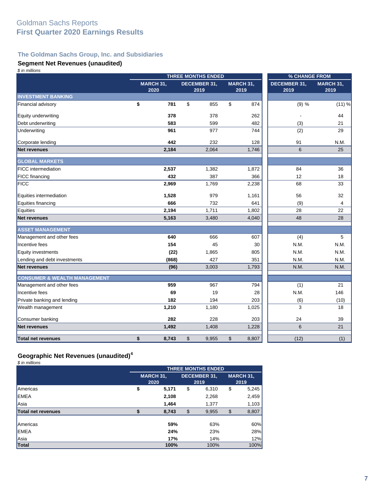#### **The Goldman Sachs Group, Inc. and Subsidiaries**

#### **Segment Net Revenues (unaudited)**

| \$ in millions                          |                   | THREE MONTHS ENDED          |                   | % CHANGE FROM               |                   |  |
|-----------------------------------------|-------------------|-----------------------------|-------------------|-----------------------------|-------------------|--|
|                                         | MARCH 31,<br>2020 | <b>DECEMBER 31,</b><br>2019 | MARCH 31,<br>2019 | <b>DECEMBER 31,</b><br>2019 | MARCH 31,<br>2019 |  |
| <b>INVESTMENT BANKING</b>               |                   |                             |                   |                             |                   |  |
| Financial advisory                      | \$<br>781         | \$<br>855                   | \$<br>874         | (9) %                       | (11) %            |  |
| <b>Equity underwriting</b>              | 378               | 378                         | 262               |                             | 44                |  |
| Debt underwriting                       | 583               | 599                         | 482               | (3)                         | 21                |  |
| Underwriting                            | 961               | 977                         | 744               | (2)                         | 29                |  |
| Corporate lending                       | 442               | 232                         | 128               | 91                          | N.M.              |  |
| <b>Net revenues</b>                     | 2,184             | 2,064                       | 1,746             | 6                           | 25                |  |
| <b>GLOBAL MARKETS</b>                   |                   |                             |                   |                             |                   |  |
| <b>FICC</b> intermediation              | 2,537             | 1,382                       | 1,872             | 84                          | 36                |  |
| FICC financing                          | 432               | 387                         | 366               | 12                          | 18                |  |
| <b>FICC</b>                             | 2,969             | 1,769                       | 2,238             | 68                          | 33                |  |
| Equities intermediation                 | 1,528             | 979                         | 1,161             | 56                          | 32                |  |
| Equities financing                      | 666               | 732                         | 641               | (9)                         | $\overline{4}$    |  |
| Equities                                | 2,194             | 1,711                       | 1,802             | 28                          | 22                |  |
| <b>Net revenues</b>                     | 5,163             | 3,480                       | 4,040             | 48                          | 28                |  |
| <b>ASSET MANAGEMENT</b>                 |                   |                             |                   |                             |                   |  |
| Management and other fees               | 640               | 666                         | 607               | (4)                         | 5                 |  |
| Incentive fees                          | 154               | 45                          | 30                | N.M.                        | N.M.              |  |
| Equity investments                      | (22)              | 1,865                       | 805               | N.M.                        | N.M.              |  |
| Lending and debt investments            | (868)             | 427                         | 351               | N.M.                        | N.M.              |  |
| <b>Net revenues</b>                     | (96)              | 3,003                       | 1,793             | N.M.                        | N.M.              |  |
| <b>CONSUMER &amp; WEALTH MANAGEMENT</b> |                   |                             |                   |                             |                   |  |
| Management and other fees               | 959               | 967                         | 794               | (1)                         | 21                |  |
| Incentive fees                          | 69                | 19                          | 28                | N.M.                        | 146               |  |
| Private banking and lending             | 182               | 194                         | 203               | (6)                         | (10)              |  |
| Wealth management                       | 1,210             | 1,180                       | 1,025             | 3                           | 18                |  |
| Consumer banking                        | 282               | 228                         | 203               | 24                          | 39                |  |
| <b>Net revenues</b>                     | 1,492             | 1,408                       | 1,228             | 6                           | 21                |  |
| Total net revenues                      | \$<br>8,743       | \$<br>9,955                 | \$<br>8,807       | (12)                        | (1)               |  |

# **Geographic Net Revenues (unaudited)<sup>4</sup>**

*\$ in millions*

|                    | <b>THREE MONTHS ENDED</b> |                          |    |                             |    |                          |  |
|--------------------|---------------------------|--------------------------|----|-----------------------------|----|--------------------------|--|
|                    |                           | <b>MARCH 31,</b><br>2020 |    | <b>DECEMBER 31,</b><br>2019 |    | <b>MARCH 31,</b><br>2019 |  |
| Americas           | \$                        | 5,171                    | \$ | 6,310                       | \$ | 5,245                    |  |
| <b>EMEA</b>        |                           | 2,108                    |    | 2,268                       |    | 2,459                    |  |
| Asia               |                           | 1,464                    |    | 1.377                       |    | 1,103                    |  |
| Total net revenues |                           | 8,743                    | \$ | 9,955                       | \$ | 8,807                    |  |
|                    |                           |                          |    |                             |    |                          |  |
| Americas           |                           | 59%                      |    | 63%                         |    | 60%                      |  |
| <b>EMEA</b>        |                           | 24%                      |    | 23%                         |    | 28%                      |  |
| Asia               |                           | 17%                      |    | 14%                         |    | 12%                      |  |
| Total              |                           | 100%                     |    | 100%                        |    | 100%                     |  |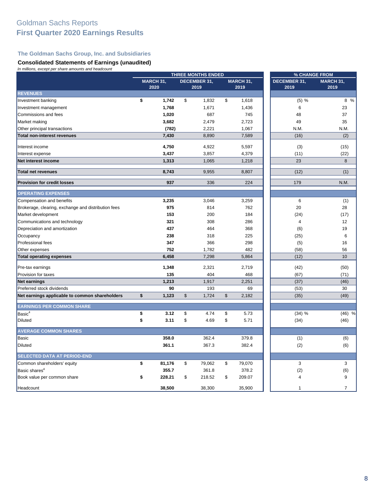#### **The Goldman Sachs Group, Inc. and Subsidiaries**

#### **Consolidated Statements of Earnings (unaudited)**

| In millions, except per share amounts and headcount | <b>THREE MONTHS ENDED</b> |                   |              |                      | % CHANGE FROM     |                             |                   |
|-----------------------------------------------------|---------------------------|-------------------|--------------|----------------------|-------------------|-----------------------------|-------------------|
|                                                     |                           | MARCH 31,<br>2020 |              | DECEMBER 31,<br>2019 | MARCH 31,<br>2019 | <b>DECEMBER 31,</b><br>2019 | MARCH 31,<br>2019 |
| <b>REVENUES</b>                                     |                           |                   |              |                      |                   |                             |                   |
| Investment banking                                  | \$                        | 1,742             | \$           | 1,832                | \$<br>1,618       | (5) %                       | 8 %               |
| Investment management                               |                           | 1,768             |              | 1,671                | 1,436             | 6                           | 23                |
| Commissions and fees                                |                           | 1,020             |              | 687                  | 745               | 48                          | 37                |
| Market making                                       |                           | 3,682             |              | 2,479                | 2,723             | 49                          | 35                |
| Other principal transactions                        |                           | (782)             |              | 2,221                | 1,067             | N.M.                        | N.M.              |
| Total non-interest revenues                         |                           | 7,430             |              | 8,890                | 7,589             | (16)                        | (2)               |
| Interest income                                     |                           | 4,750             |              | 4,922                | 5,597             | (3)                         | (15)              |
| Interest expense                                    |                           | 3,437             |              | 3,857                | 4,379             | (11)                        | (22)              |
| Net interest income                                 |                           | 1,313             |              | 1,065                | 1,218             | 23                          | 8                 |
| <b>Total net revenues</b>                           |                           | 8,743             |              | 9,955                | 8,807             | (12)                        | (1)               |
| <b>Provision for credit losses</b>                  |                           | 937               |              | 336                  | 224               | 179                         | N.M.              |
| <b>OPERATING EXPENSES</b>                           |                           |                   |              |                      |                   |                             |                   |
| Compensation and benefits                           |                           | 3,235             |              | 3,046                | 3,259             | 6                           | (1)               |
| Brokerage, clearing, exchange and distribution fees |                           | 975               |              | 814                  | 762               | 20                          | 28                |
| Market development                                  |                           | 153               |              | 200                  | 184               | (24)                        | (17)              |
| Communications and technology                       |                           | 321               |              | 308                  | 286               | $\overline{\mathbf{4}}$     | 12                |
| Depreciation and amortization                       |                           | 437               |              | 464                  | 368               | (6)                         | 19                |
| Occupancy                                           |                           | 238               |              | 318                  | 225               | (25)                        | 6                 |
| Professional fees                                   |                           | 347               |              | 366                  | 298               | (5)                         | 16                |
| Other expenses                                      |                           | 752               |              | 1,782                | 482               | (58)                        | 56                |
| <b>Total operating expenses</b>                     |                           | 6,458             |              | 7,298                | 5,864             | (12)                        | 10                |
| Pre-tax earnings                                    |                           | 1,348             |              | 2,321                | 2,719             | (42)                        | (50)              |
| Provision for taxes                                 |                           | 135               |              | 404                  | 468               | (67)                        | (71)              |
| <b>Net earnings</b>                                 |                           | 1,213             |              | 1,917                | 2,251             | (37)                        | (46)              |
| Preferred stock dividends                           |                           | 90                |              | 193                  | 69                | (53)                        | 30                |
| Net earnings applicable to common shareholders      | \$                        | 1,123             | $\mathbb{S}$ | 1,724                | \$<br>2,182       | (35)                        | (49)              |
| <b>EARNINGS PER COMMON SHARE</b>                    |                           |                   |              |                      |                   |                             |                   |
| Basic <sup>4</sup>                                  | \$                        | 3.12              | \$           | 4.74                 | \$<br>5.73        | (34) %                      | $(46)$ %          |
| Diluted                                             | \$                        | 3.11              | \$           | 4.69                 | \$<br>5.71        | (34)                        | (46)              |
| <b>AVERAGE COMMON SHARES</b>                        |                           |                   |              |                      |                   |                             |                   |
| Basic                                               |                           | 358.0             |              | 362.4                | 379.8             | (1)                         | (6)               |
| Diluted                                             |                           | 361.1             |              | 367.3                | 382.4             | (2)                         | (6)               |
| <b>SELECTED DATA AT PERIOD-END</b>                  |                           |                   |              |                      |                   |                             |                   |
| Common shareholders' equity                         | \$                        | 81,176            | \$           | 79,062               | \$<br>79,070      | 3                           | 3                 |
| Basic shares <sup>4</sup>                           |                           | 355.7             |              | 361.8                | 378.2             | (2)                         | (6)               |
| Book value per common share                         | \$                        | 228.21            | \$           | 218.52               | \$<br>209.07      | 4                           | 9                 |
| Headcount                                           |                           | 38,500            |              | 38,300               | 35,900            | 1                           | $\overline{7}$    |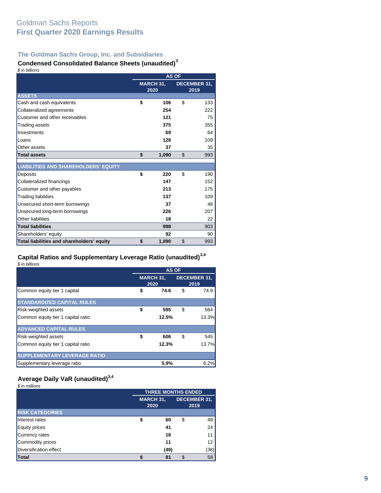#### **The Goldman Sachs Group, Inc. and Subsidiaries**

#### **Condensed Consolidated Balance Sheets (unaudited)<sup>3</sup>** *\$ in billions*

| <i>៴ ៲៲ ៲ ៷៲៲៲៲៴៲</i> ៲៴                    | <b>AS OF</b> |                          |                      |     |  |
|---------------------------------------------|--------------|--------------------------|----------------------|-----|--|
|                                             |              | <b>MARCH 31,</b><br>2020 | DECEMBER 31,<br>2019 |     |  |
| <b>ASSETS</b>                               |              |                          |                      |     |  |
| Cash and cash equivalents                   | \$           | 106                      | \$                   | 133 |  |
| Collateralized agreements                   |              | 254                      |                      | 222 |  |
| Customer and other receivables              |              | 121                      |                      | 75  |  |
| <b>Trading assets</b>                       |              | 375                      |                      | 355 |  |
| Investments                                 |              | 69                       |                      | 64  |  |
| Loans                                       |              | 128                      |                      | 109 |  |
| Other assets                                |              | 37                       |                      | 35  |  |
| <b>Total assets</b>                         | \$           | 1,090                    | \$                   | 993 |  |
| <b>LIABILITIES AND SHAREHOLDERS' EQUITY</b> |              |                          |                      |     |  |
| Deposits                                    | \$           | 220                      | \$                   | 190 |  |
| Collateralized financings                   |              | 147                      |                      | 152 |  |
| Customer and other payables                 |              | 213                      |                      | 175 |  |
| <b>Trading liabilities</b>                  |              | 137                      |                      | 109 |  |
| Unsecured short-term borrowings             |              | 37                       |                      | 48  |  |
| Unsecured long-term borrowings              |              | 226                      |                      | 207 |  |
| Other liabilities                           |              | 18                       |                      | 22  |  |
| <b>Total liabilities</b>                    |              | 998                      |                      | 903 |  |
| Shareholders' equity                        |              | 92                       |                      | 90  |  |
| Total liabilities and shareholders' equity  | \$           | 1,090                    | \$                   | 993 |  |

#### **Capital Ratios and Supplementary Leverage Ratio (unaudited)3,4**

*\$ in billions*

|                                     | <b>AS OF</b>             |       |    |                             |  |  |
|-------------------------------------|--------------------------|-------|----|-----------------------------|--|--|
|                                     | <b>MARCH 31,</b><br>2020 |       |    | <b>DECEMBER 31,</b><br>2019 |  |  |
| Common equity tier 1 capital        | \$                       | 74.6  | \$ | 74.9                        |  |  |
| <b>STANDARDIZED CAPITAL RULES</b>   |                          |       |    |                             |  |  |
| <b>Risk-weighted assets</b>         | \$                       | 595   | \$ | 564                         |  |  |
| Common equity tier 1 capital ratio  |                          | 12.5% |    | 13.3%                       |  |  |
| <b>ADVANCED CAPITAL RULES</b>       |                          |       |    |                             |  |  |
| Risk-weighted assets                | \$                       | 606   | \$ | 545                         |  |  |
| Common equity tier 1 capital ratio  |                          | 12.3% |    | 13.7%                       |  |  |
| <b>SUPPLEMENTARY LEVERAGE RATIO</b> |                          |       |    |                             |  |  |
| Supplementary leverage ratio        |                          | 5.9%  |    | 6.2%                        |  |  |

#### **Average Daily VaR (unaudited)3,4**

*\$ in millions*

|                        |                  | <b>THREE MONTHS ENDED</b> |    |      |  |  |  |  |
|------------------------|------------------|---------------------------|----|------|--|--|--|--|
|                        | <b>MARCH 31,</b> | <b>DECEMBER 31,</b>       |    |      |  |  |  |  |
|                        | 2020             |                           |    | 2019 |  |  |  |  |
| <b>RISK CATEGORIES</b> |                  |                           |    |      |  |  |  |  |
| Interest rates         | \$               | 60                        | \$ | 49   |  |  |  |  |
| Equity prices          |                  | 41                        |    | 24   |  |  |  |  |
| Currency rates         |                  | 18                        |    | 11   |  |  |  |  |
| Commodity prices       |                  | 11                        |    | 12   |  |  |  |  |
| Diversification effect |                  | (49)                      |    | (38) |  |  |  |  |
| Total                  |                  | 81                        |    | 58   |  |  |  |  |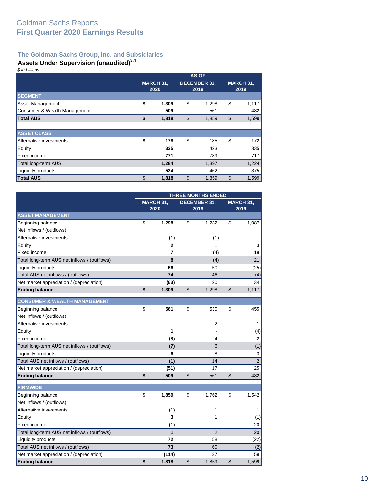## **The Goldman Sachs Group, Inc. and Subsidiaries**

## **Assets Under Supervision (unaudited)3,4**

*\$ in billions*

|                              | <b>AS OF</b>             |       |                             |       |    |                          |  |
|------------------------------|--------------------------|-------|-----------------------------|-------|----|--------------------------|--|
|                              | <b>MARCH 31,</b><br>2020 |       | <b>DECEMBER 31,</b><br>2019 |       |    | <b>MARCH 31,</b><br>2019 |  |
| <b>SEGMENT</b>               |                          |       |                             |       |    |                          |  |
| <b>Asset Management</b>      | \$                       | 1,309 | \$                          | 1,298 | \$ | 1,117                    |  |
| Consumer & Wealth Management |                          | 509   |                             | 561   |    | 482                      |  |
| <b>Total AUS</b>             | \$                       | 1,818 | $\mathcal{S}$               | 1,859 | \$ | 1,599                    |  |
|                              |                          |       |                             |       |    |                          |  |
| <b>ASSET CLASS</b>           |                          |       |                             |       |    |                          |  |
| Alternative investments      | \$                       | 178   | \$                          | 185   | \$ | 172                      |  |
| Equity                       |                          | 335   |                             | 423   |    | 335                      |  |
| <b>Fixed income</b>          |                          | 771   |                             | 789   |    | 717                      |  |
| Total long-term AUS          |                          | 1,284 |                             | 1,397 |    | 1,224                    |  |
| Liquidity products           |                          | 534   |                             | 462   |    | 375                      |  |
| <b>Total AUS</b>             | \$                       | 1,818 | \$                          | 1,859 | \$ | 1,599                    |  |

|                                              | <b>THREE MONTHS ENDED</b> |              |                             |                |                   |                |  |
|----------------------------------------------|---------------------------|--------------|-----------------------------|----------------|-------------------|----------------|--|
|                                              | MARCH 31,<br>2020         |              | <b>DECEMBER 31.</b><br>2019 |                | MARCH 31,<br>2019 |                |  |
|                                              |                           |              |                             |                |                   |                |  |
| <b>ASSET MANAGEMENT</b>                      |                           |              |                             |                |                   |                |  |
| Beginning balance                            | \$                        | 1,298        | \$                          | 1,232          | \$                | 1,087          |  |
| Net inflows / (outflows):                    |                           |              |                             |                |                   |                |  |
| Alternative investments                      |                           | (1)          |                             | (1)            |                   |                |  |
| Equity                                       |                           | 2            |                             | 1              |                   | 3              |  |
| Fixed income                                 |                           | 7            |                             | (4)            |                   | 18             |  |
| Total long-term AUS net inflows / (outflows) |                           | 8            |                             | (4)            |                   | 21             |  |
| Liquidity products                           |                           | 66           |                             | 50             |                   | (25)           |  |
| Total AUS net inflows / (outflows)           |                           | 74           |                             | 46             |                   | (4)            |  |
| Net market appreciation / (depreciation)     |                           | (63)         |                             | 20             |                   | 34             |  |
| <b>Ending balance</b>                        | \$                        | 1,309        | \$                          | 1,298          | \$                | 1,117          |  |
| <b>CONSUMER &amp; WEALTH MANAGEMENT</b>      |                           |              |                             |                |                   |                |  |
| Beginning balance                            | \$                        | 561          | \$                          | 530            | \$                | 455            |  |
| Net inflows / (outflows):                    |                           |              |                             |                |                   |                |  |
| Alternative investments                      |                           |              |                             | 2              |                   | 1              |  |
| Equity                                       |                           | 1            |                             |                |                   | (4)            |  |
| Fixed income                                 |                           | (8)          |                             | 4              |                   | 2              |  |
| Total long-term AUS net inflows / (outflows) |                           | (7)          |                             | 6              |                   | (1)            |  |
| Liquidity products                           |                           | 6            |                             | 8              |                   | 3              |  |
| Total AUS net inflows / (outflows)           |                           | (1)          |                             | 14             |                   | $\overline{2}$ |  |
| Net market appreciation / (depreciation)     |                           | (51)         |                             | 17             |                   | 25             |  |
| <b>Ending balance</b>                        | \$                        | 509          | $\mathfrak{S}$              | 561            | \$                | 482            |  |
| <b>FIRMWIDE</b>                              |                           |              |                             |                |                   |                |  |
| Beginning balance                            | \$                        | 1,859        | \$                          | 1,762          | \$                | 1,542          |  |
| Net inflows / (outflows):                    |                           |              |                             |                |                   |                |  |
| Alternative investments                      |                           | (1)          |                             | 1              |                   | 1              |  |
| Equity                                       |                           | 3            |                             | 1              |                   | (1)            |  |
| <b>Fixed income</b>                          |                           | (1)          |                             |                |                   | 20             |  |
| Total long-term AUS net inflows / (outflows) |                           | $\mathbf{1}$ |                             | $\overline{2}$ |                   | 20             |  |
| Liquidity products                           |                           | 72           |                             | 58             |                   | (22)           |  |
| Total AUS net inflows / (outflows)           |                           | 73           |                             | 60             |                   | (2)            |  |
| Net market appreciation / (depreciation)     |                           | (114)        |                             | 37             |                   | 59             |  |
| <b>Ending balance</b>                        | \$                        | 1,818        | \$                          | 1,859          | \$                | 1,599          |  |